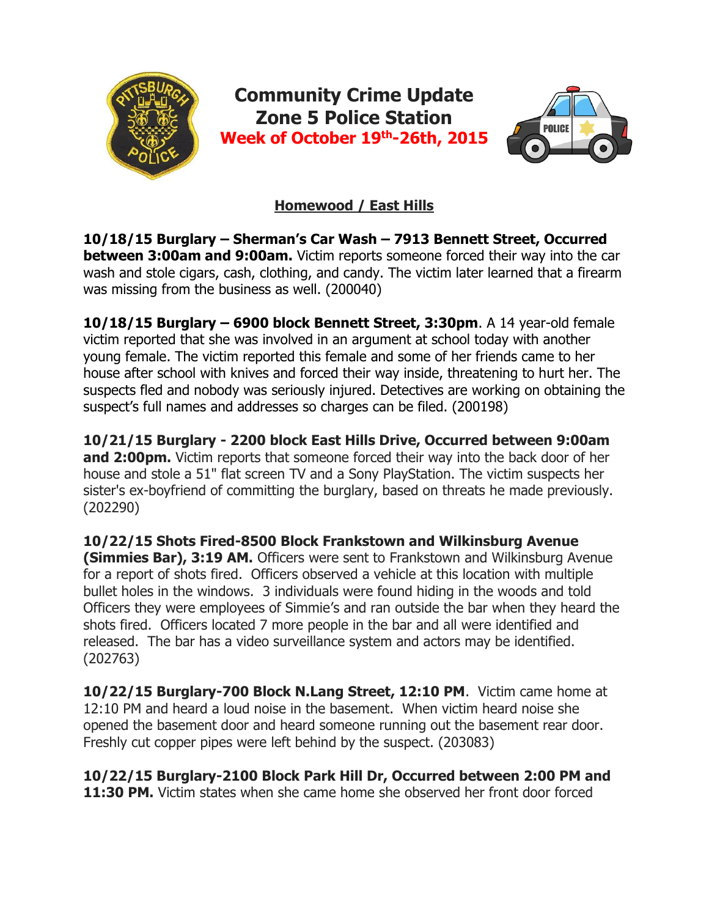

# **Homewood / East Hills**

**10/18/15 Burglary – Sherman's Car Wash – 7913 Bennett Street, Occurred between 3:00am and 9:00am.** Victim reports someone forced their way into the car wash and stole cigars, cash, clothing, and candy. The victim later learned that a firearm was missing from the business as well. (200040)

**10/18/15 Burglary – 6900 block Bennett Street, 3:30pm**. A 14 year-old female victim reported that she was involved in an argument at school today with another young female. The victim reported this female and some of her friends came to her house after school with knives and forced their way inside, threatening to hurt her. The suspects fled and nobody was seriously injured. Detectives are working on obtaining the suspect's full names and addresses so charges can be filed. (200198)

**10/21/15 Burglary - 2200 block East Hills Drive, Occurred between 9:00am and 2:00pm.** Victim reports that someone forced their way into the back door of her house and stole a 51" flat screen TV and a Sony PlayStation. The victim suspects her sister's ex-boyfriend of committing the burglary, based on threats he made previously. (202290)

**10/22/15 Shots Fired-8500 Block Frankstown and Wilkinsburg Avenue (Simmies Bar), 3:19 AM.** Officers were sent to Frankstown and Wilkinsburg Avenue for a report of shots fired. Officers observed a vehicle at this location with multiple bullet holes in the windows. 3 individuals were found hiding in the woods and told Officers they were employees of Simmie's and ran outside the bar when they heard the shots fired. Officers located 7 more people in the bar and all were identified and released. The bar has a video surveillance system and actors may be identified. (202763)

**10/22/15 Burglary-700 Block N.Lang Street, 12:10 PM**. Victim came home at 12:10 PM and heard a loud noise in the basement. When victim heard noise she opened the basement door and heard someone running out the basement rear door. Freshly cut copper pipes were left behind by the suspect. (203083)

**10/22/15 Burglary-2100 Block Park Hill Dr, Occurred between 2:00 PM and 11:30 PM.** Victim states when she came home she observed her front door forced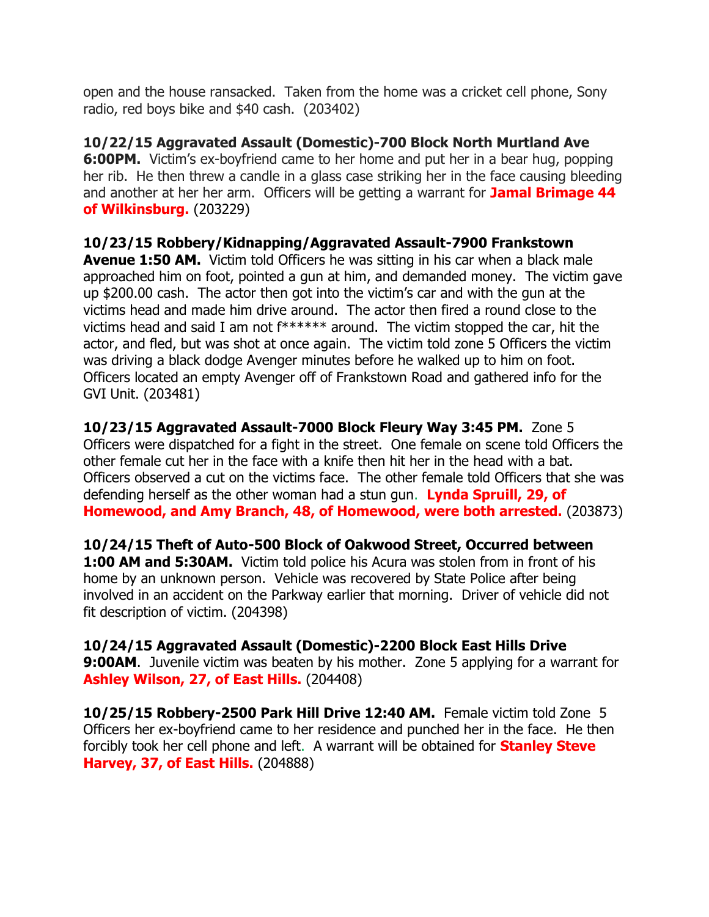open and the house ransacked. Taken from the home was a cricket cell phone, Sony radio, red boys bike and \$40 cash. (203402)

**10/22/15 Aggravated Assault (Domestic)-700 Block North Murtland Ave 6:00PM.** Victim's ex-boyfriend came to her home and put her in a bear hug, popping her rib. He then threw a candle in a glass case striking her in the face causing bleeding and another at her her arm. Officers will be getting a warrant for **Jamal Brimage 44 of Wilkinsburg.** (203229)

**10/23/15 Robbery/Kidnapping/Aggravated Assault-7900 Frankstown Avenue 1:50 AM.** Victim told Officers he was sitting in his car when a black male approached him on foot, pointed a gun at him, and demanded money. The victim gave up \$200.00 cash. The actor then got into the victim's car and with the gun at the victims head and made him drive around. The actor then fired a round close to the victims head and said I am not f\*\*\*\*\*\* around. The victim stopped the car, hit the actor, and fled, but was shot at once again. The victim told zone 5 Officers the victim was driving a black dodge Avenger minutes before he walked up to him on foot. Officers located an empty Avenger off of Frankstown Road and gathered info for the GVI Unit. (203481)

**10/23/15 Aggravated Assault-7000 Block Fleury Way 3:45 PM.** Zone 5 Officers were dispatched for a fight in the street. One female on scene told Officers the other female cut her in the face with a knife then hit her in the head with a bat. Officers observed a cut on the victims face. The other female told Officers that she was defending herself as the other woman had a stun gun. **Lynda Spruill, 29, of Homewood, and Amy Branch, 48, of Homewood, were both arrested.** (203873)

**10/24/15 Theft of Auto-500 Block of Oakwood Street, Occurred between 1:00 AM and 5:30AM.** Victim told police his Acura was stolen from in front of his home by an unknown person. Vehicle was recovered by State Police after being involved in an accident on the Parkway earlier that morning. Driver of vehicle did not fit description of victim. (204398)

**10/24/15 Aggravated Assault (Domestic)-2200 Block East Hills Drive 9:00AM.** Juvenile victim was beaten by his mother. Zone 5 applying for a warrant for **Ashley Wilson, 27, of East Hills.** (204408)

**10/25/15 Robbery-2500 Park Hill Drive 12:40 AM.** Female victim told Zone 5 Officers her ex-boyfriend came to her residence and punched her in the face. He then forcibly took her cell phone and left. A warrant will be obtained for **Stanley Steve Harvey, 37, of East Hills.** (204888)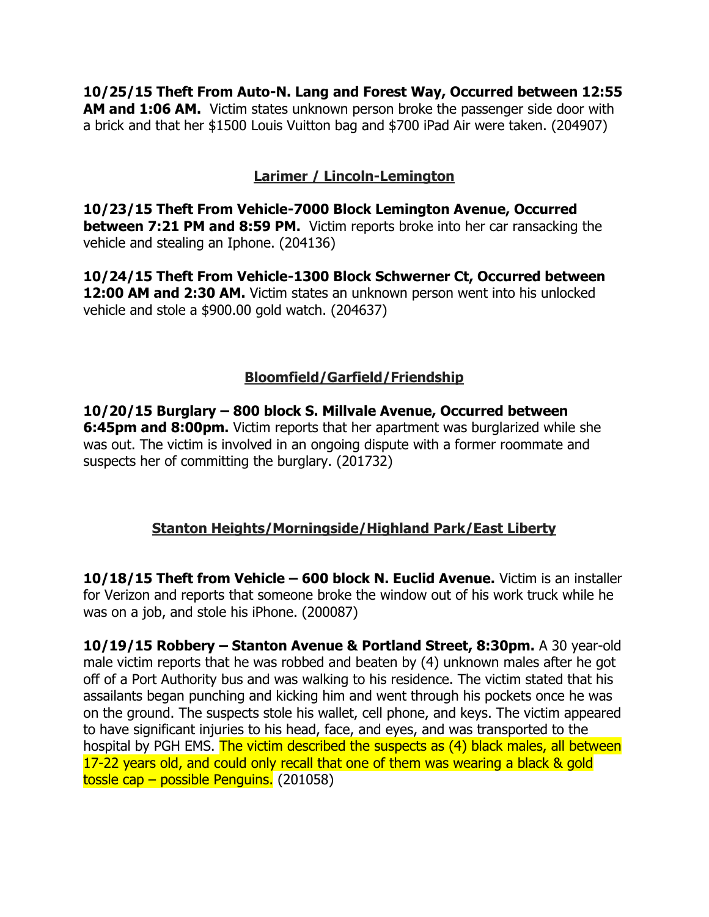**10/25/15 Theft From Auto-N. Lang and Forest Way, Occurred between 12:55 AM and 1:06 AM.** Victim states unknown person broke the passenger side door with a brick and that her \$1500 Louis Vuitton bag and \$700 iPad Air were taken. (204907)

## **Larimer / Lincoln-Lemington**

**10/23/15 Theft From Vehicle-7000 Block Lemington Avenue, Occurred between 7:21 PM and 8:59 PM.** Victim reports broke into her car ransacking the vehicle and stealing an Iphone. (204136)

**10/24/15 Theft From Vehicle-1300 Block Schwerner Ct, Occurred between 12:00 AM and 2:30 AM.** Victim states an unknown person went into his unlocked vehicle and stole a \$900.00 gold watch. (204637)

## **Bloomfield/Garfield/Friendship**

**10/20/15 Burglary – 800 block S. Millvale Avenue, Occurred between 6:45pm and 8:00pm.** Victim reports that her apartment was burglarized while she was out. The victim is involved in an ongoing dispute with a former roommate and suspects her of committing the burglary. (201732)

## **Stanton Heights/Morningside/Highland Park/East Liberty**

**10/18/15 Theft from Vehicle – 600 block N. Euclid Avenue.** Victim is an installer for Verizon and reports that someone broke the window out of his work truck while he was on a job, and stole his iPhone. (200087)

**10/19/15 Robbery – Stanton Avenue & Portland Street, 8:30pm.** A 30 year-old male victim reports that he was robbed and beaten by (4) unknown males after he got off of a Port Authority bus and was walking to his residence. The victim stated that his assailants began punching and kicking him and went through his pockets once he was on the ground. The suspects stole his wallet, cell phone, and keys. The victim appeared to have significant injuries to his head, face, and eyes, and was transported to the hospital by PGH EMS. The victim described the suspects as (4) black males, all between 17-22 years old, and could only recall that one of them was wearing a black & gold tossle cap – possible Penguins. (201058)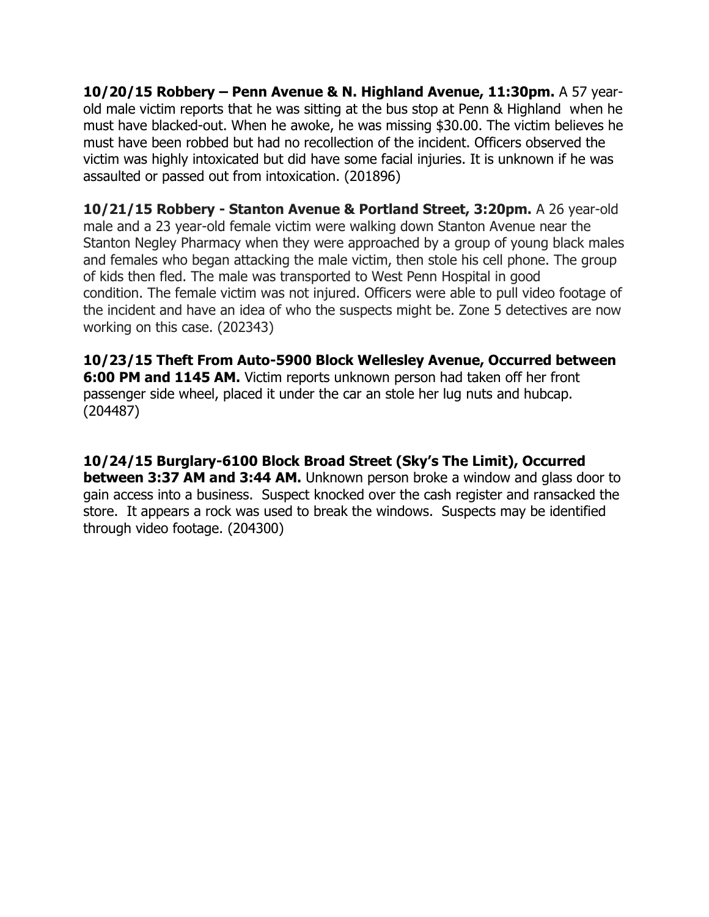**10/20/15 Robbery – Penn Avenue & N. Highland Avenue, 11:30pm.** A 57 yearold male victim reports that he was sitting at the bus stop at Penn & Highland when he must have blacked-out. When he awoke, he was missing \$30.00. The victim believes he must have been robbed but had no recollection of the incident. Officers observed the victim was highly intoxicated but did have some facial injuries. It is unknown if he was assaulted or passed out from intoxication. (201896)

**10/21/15 Robbery - Stanton Avenue & Portland Street, 3:20pm.** A 26 year-old male and a 23 year-old female victim were walking down Stanton Avenue near the Stanton Negley Pharmacy when they were approached by a group of young black males and females who began attacking the male victim, then stole his cell phone. The group of kids then fled. The male was transported to West Penn Hospital in good condition. The female victim was not injured. Officers were able to pull video footage of the incident and have an idea of who the suspects might be. Zone 5 detectives are now working on this case. (202343)

**10/23/15 Theft From Auto-5900 Block Wellesley Avenue, Occurred between 6:00 PM and 1145 AM.** Victim reports unknown person had taken off her front passenger side wheel, placed it under the car an stole her lug nuts and hubcap. (204487)

**10/24/15 Burglary-6100 Block Broad Street (Sky's The Limit), Occurred between 3:37 AM and 3:44 AM.** Unknown person broke a window and glass door to gain access into a business. Suspect knocked over the cash register and ransacked the store. It appears a rock was used to break the windows. Suspects may be identified through video footage. (204300)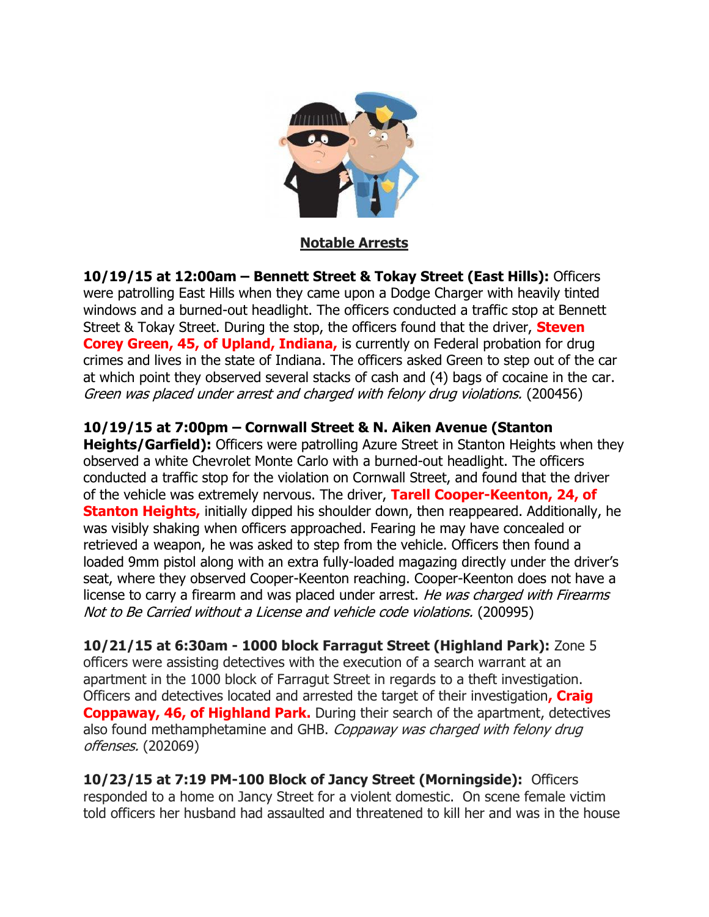

**Notable Arrests**

**10/19/15 at 12:00am – Bennett Street & Tokay Street (East Hills):** Officers were patrolling East Hills when they came upon a Dodge Charger with heavily tinted windows and a burned-out headlight. The officers conducted a traffic stop at Bennett Street & Tokay Street. During the stop, the officers found that the driver, **Steven Corey Green, 45, of Upland, Indiana, is currently on Federal probation for drug** crimes and lives in the state of Indiana. The officers asked Green to step out of the car at which point they observed several stacks of cash and (4) bags of cocaine in the car. Green was placed under arrest and charged with felony drug violations. (200456)

## **10/19/15 at 7:00pm – Cornwall Street & N. Aiken Avenue (Stanton**

**Heights/Garfield):** Officers were patrolling Azure Street in Stanton Heights when they observed a white Chevrolet Monte Carlo with a burned-out headlight. The officers conducted a traffic stop for the violation on Cornwall Street, and found that the driver of the vehicle was extremely nervous. The driver, **Tarell Cooper-Keenton, 24, of Stanton Heights,** initially dipped his shoulder down, then reappeared. Additionally, he was visibly shaking when officers approached. Fearing he may have concealed or retrieved a weapon, he was asked to step from the vehicle. Officers then found a loaded 9mm pistol along with an extra fully-loaded magazing directly under the driver's seat, where they observed Cooper-Keenton reaching. Cooper-Keenton does not have a license to carry a firearm and was placed under arrest. He was charged with Firearms Not to Be Carried without a License and vehicle code violations. (200995)

**10/21/15 at 6:30am - 1000 block Farragut Street (Highland Park):** Zone 5 officers were assisting detectives with the execution of a search warrant at an apartment in the 1000 block of Farragut Street in regards to a theft investigation. Officers and detectives located and arrested the target of their investigation**, Craig Coppaway, 46, of Highland Park.** During their search of the apartment, detectives also found methamphetamine and GHB. Coppaway was charged with felony drug offenses. (202069)

**10/23/15 at 7:19 PM-100 Block of Jancy Street (Morningside):** Officers responded to a home on Jancy Street for a violent domestic. On scene female victim told officers her husband had assaulted and threatened to kill her and was in the house